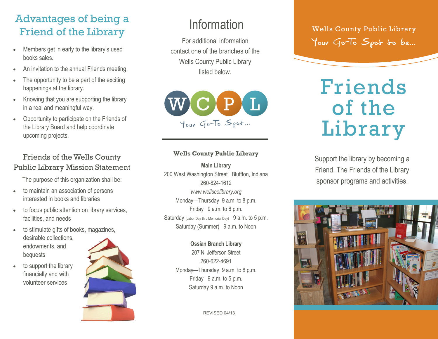# Advantages of being a Friend of the Library

- Members get in early to the library's used books sales.
- An invitation to the annual Friends meeting.
- The opportunity to be a part of the exciting happenings at the library.
- Knowing that you are supporting the library in a real and meaningful way.
- Opportunity to participate on the Friends of the Library Board and help coordinate upcoming projects.

### Friends of the Wells County Public Library Mission Statement

The purpose of this organization shall be:

- to maintain an association of persons interested in books and libraries
- to focus public attention on library services, facilities, and needs
- to stimulate gifts of books, magazines, desirable collections, endowments, and bequests
- to support the library financially and with volunteer services



For additional information contact one of the branches of the Wells County Public Library listed below.



#### **Wells County Public Library**

**Main Library** 200 West Washington Street Bluffton, Indiana 260-824-1612 *www.wellscolibrary.org* Monday—Thursday 9 a.m. to 8 p.m. Friday 9 a.m. to 6 p.m. Saturday (Labor Day thru Memorial Day) 9 a.m. to 5 p.m. Saturday (Summer) 9 a.m. to Noon

> **Ossian Branch Library**  207 N. Jefferson Street 260-622-4691 Monday—Thursday 9 a.m. to 8 p.m. Friday 9 a.m. to 5 p.m. Saturday 9 a.m. to Noon

> > REVISED 04/13

Information Wells County Public Library Your Go-To Spot to be...

# Friends of the Library

Support the library by becoming a Friend. The Friends of the Library sponsor programs and activities.